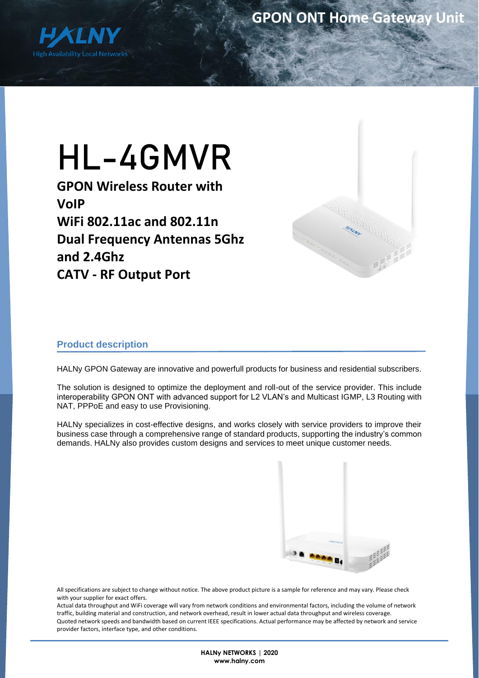

# HL-4GMVR

**GPON Wireless Router with VoIP WiFi 802.11ac and 802.11n Dual Frequency Antennas 5Ghz and 2.4Ghz CATV - RF Output Port**



## **Product description**

HALNy GPON Gateway are innovative and powerfull products for business and residential subscribers.

The solution is designed to optimize the deployment and roll-out of the service provider. This include interoperability GPON ONT with advanced support for L2 VLAN's and Multicast IGMP, L3 Routing with NAT, PPPoE and easy to use Provisioning.

HALNy specializes in cost-effective designs, and works closely with service providers to improve their business case through a comprehensive range of standard products, supporting the industry's common demands. HALNy also provides custom designs and services to meet unique customer needs.



All specifications are subject to change without notice. The above product picture is a sample for reference and may vary. Please check with your supplier for exact offers.

Actual data throughput and WiFi coverage will vary from network conditions and environmental factors, including the volume of network traffic, building material and construction, and network overhead, result in lower actual data throughput and wireless coverage. Quoted network speeds and bandwidth based on current IEEE specifications. Actual performance may be affected by network and service provider factors, interface type, and other conditions.